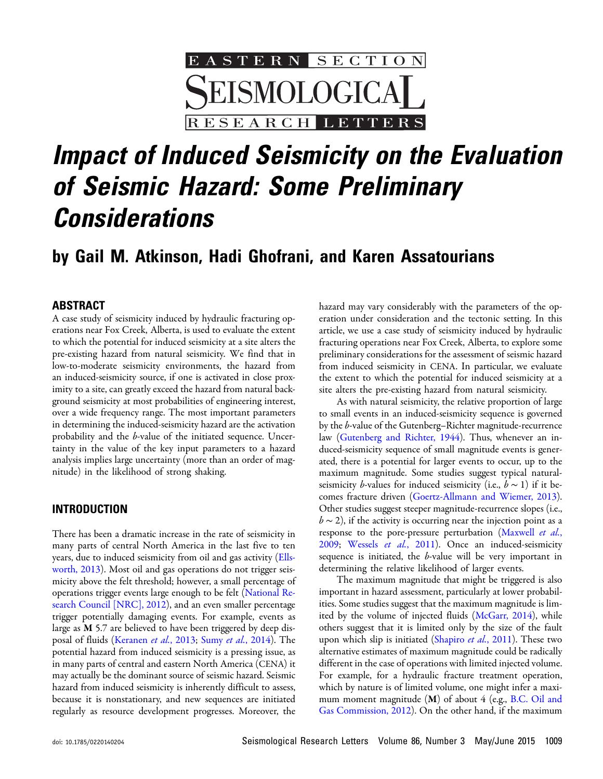

# Impact of Induced Seismicity on the Evaluation of Seismic Hazard: Some Preliminary Considerations

# by Gail M. Atkinson, Hadi Ghofrani, and Karen Assatourians

#### ABSTRACT

A case study of seismicity induced by hydraulic fracturing operations near Fox Creek, Alberta, is used to evaluate the extent to which the potential for induced seismicity at a site alters the pre-existing hazard from natural seismicity. We find that in low-to-moderate seismicity environments, the hazard from an induced-seismicity source, if one is activated in close proximity to a site, can greatly exceed the hazard from natural background seismicity at most probabilities of engineering interest, over a wide frequency range. The most important parameters in determining the induced-seismicity hazard are the activation probability and the b-value of the initiated sequence. Uncertainty in the value of the key input parameters to a hazard analysis implies large uncertainty (more than an order of magnitude) in the likelihood of strong shaking.

#### INTRODUCTION

There has been a dramatic increase in the rate of seismicity in many parts of central North America in the last five to ten years, due to induced seismicity from oil and gas activity ([Ells](#page-11-0)[worth, 2013\)](#page-11-0). Most oil and gas operations do not trigger seismicity above the felt threshold; however, a small percentage of operations trigger events large enough to be felt ([National Re](#page-12-0)[search Council \[NRC\], 2012\)](#page-12-0), and an even smaller percentage trigger potentially damaging events. For example, events as large as **M** 5.7 are believed to have been triggered by deep dis-posal of fluids [\(Keranen](#page-12-1) et al., 2013; Sumy et al.[, 2014\)](#page-12-2). The potential hazard from induced seismicity is a pressing issue, as in many parts of central and eastern North America (CENA) it may actually be the dominant source of seismic hazard. Seismic hazard from induced seismicity is inherently difficult to assess, because it is nonstationary, and new sequences are initiated regularly as resource development progresses. Moreover, the

hazard may vary considerably with the parameters of the operation under consideration and the tectonic setting. In this article, we use a case study of seismicity induced by hydraulic fracturing operations near Fox Creek, Alberta, to explore some preliminary considerations for the assessment of seismic hazard from induced seismicity in CENA. In particular, we evaluate the extent to which the potential for induced seismicity at a site alters the pre-existing hazard from natural seismicity.

As with natural seismicity, the relative proportion of large to small events in an induced-seismicity sequence is governed by the b-value of the Gutenberg–Richter magnitude-recurrence law [\(Gutenberg and Richter, 1944\)](#page-11-1). Thus, whenever an induced-seismicity sequence of small magnitude events is generated, there is a potential for larger events to occur, up to the maximum magnitude. Some studies suggest typical naturalseismicity *b*-values for induced seismicity (i.e.,  $b \sim 1$ ) if it becomes fracture driven [\(Goertz-Allmann and Wiemer, 2013](#page-11-2)). Other studies suggest steeper magnitude-recurrence slopes (i.e.,  $b \sim 2$ ), if the activity is occurring near the injection point as a response to the pore-pressure perturbation [\(Maxwell](#page-12-3) et al., [2009](#page-12-3); [Wessels](#page-12-4) et al., 2011). Once an induced-seismicity sequence is initiated, the b-value will be very important in determining the relative likelihood of larger events.

The maximum magnitude that might be triggered is also important in hazard assessment, particularly at lower probabilities. Some studies suggest that the maximum magnitude is limited by the volume of injected fluids ([McGarr, 2014](#page-12-5)), while others suggest that it is limited only by the size of the fault upon which slip is initiated [\(Shapiro](#page-12-6) et al., 2011). These two alternative estimates of maximum magnitude could be radically different in the case of operations with limited injected volume. For example, for a hydraulic fracture treatment operation, which by nature is of limited volume, one might infer a maximum moment magnitude  $(M)$  of about 4 (e.g., [B.C. Oil and](#page-11-3) [Gas Commission, 2012](#page-11-3)). On the other hand, if the maximum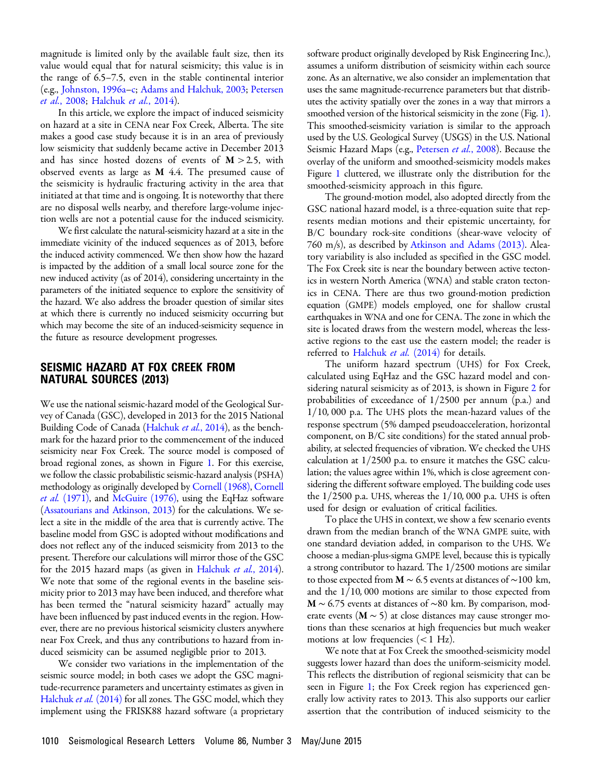magnitude is limited only by the available fault size, then its value would equal that for natural seismicity; this value is in the range of 6.5–7.5, even in the stable continental interior (e.g., [Johnston, 1996a](#page-12-7)–[c](#page-12-8); [Adams and Halchuk, 2003;](#page-11-4) [Petersen](#page-12-9) et al.[, 2008;](#page-12-9) [Halchuk](#page-11-5) et al., 2014).

In this article, we explore the impact of induced seismicity on hazard at a site in CENA near Fox Creek, Alberta. The site makes a good case study because it is in an area of previously low seismicity that suddenly became active in December 2013 and has since hosted dozens of events of  $M > 2.5$ , with observed events as large as M 4.4. The presumed cause of the seismicity is hydraulic fracturing activity in the area that initiated at that time and is ongoing. It is noteworthy that there are no disposal wells nearby, and therefore large-volume injection wells are not a potential cause for the induced seismicity.

We first calculate the natural-seismicity hazard at a site in the immediate vicinity of the induced sequences as of 2013, before the induced activity commenced. We then show how the hazard is impacted by the addition of a small local source zone for the new induced activity (as of 2014), considering uncertainty in the parameters of the initiated sequence to explore the sensitivity of the hazard. We also address the broader question of similar sites at which there is currently no induced seismicity occurring but which may become the site of an induced-seismicity sequence in the future as resource development progresses.

#### SEISMIC HAZARD AT FOX CREEK FROM NATURAL SOURCES (2013)

We use the national seismic-hazard model of the Geological Survey of Canada (GSC), developed in 2013 for the 2015 National Building Code of Canada [\(Halchuk](#page-11-5) et al., 2014), as the benchmark for the hazard prior to the commencement of the induced seismicity near Fox Creek. The source model is composed of broad regional zones, as shown in Figure [1](#page-2-0). For this exercise, we follow the classic probabilistic seismic-hazard analysis (PSHA) methodology as originally developed by [Cornell \(1968\),](#page-11-6) [Cornell](#page-11-7) *et al.* [\(1971\)](#page-11-7), and [McGuire \(1976\)](#page-12-10), using the EqHaz software [\(Assatourians and Atkinson, 2013\)](#page-11-8) for the calculations. We select a site in the middle of the area that is currently active. The baseline model from GSC is adopted without modifications and does not reflect any of the induced seismicity from 2013 to the present. Therefore our calculations will mirror those of the GSC for the 2015 hazard maps (as given in [Halchuk](#page-11-5) et al., 2014). We note that some of the regional events in the baseline seismicity prior to 2013 may have been induced, and therefore what has been termed the "natural seismicity hazard" actually may have been influenced by past induced events in the region. However, there are no previous historical seismicity clusters anywhere near Fox Creek, and thus any contributions to hazard from induced seismicity can be assumed negligible prior to 2013.

We consider two variations in the implementation of the seismic source model; in both cases we adopt the GSC magnitude-recurrence parameters and uncertainty estimates as given in [Halchuk](#page-11-5) et al. (2014) for all zones. The GSC model, which they implement using the FRISK88 hazard software (a proprietary

software product originally developed by Risk Engineering Inc.), assumes a uniform distribution of seismicity within each source zone. As an alternative, we also consider an implementation that uses the same magnitude-recurrence parameters but that distributes the activity spatially over the zones in a way that mirrors a smoothed version of the historical seismicity in the zone (Fig. [1\)](#page-2-0). This smoothed-seismicity variation is similar to the approach used by the U.S. Geological Survey (USGS) in the U.S. National Seismic Hazard Maps (e.g., [Petersen](#page-12-9) et al., 2008). Because the overlay of the uniform and smoothed-seismicity models makes Figure [1](#page-2-0) cluttered, we illustrate only the distribution for the smoothed-seismicity approach in this figure.

The ground-motion model, also adopted directly from the GSC national hazard model, is a three-equation suite that represents median motions and their epistemic uncertainty, for B/C boundary rock-site conditions (shear-wave velocity of 760 m/s), as described by [Atkinson and Adams \(2013\).](#page-11-9) Aleatory variability is also included as specified in the GSC model. The Fox Creek site is near the boundary between active tectonics in western North America (WNA) and stable craton tectonics in CENA. There are thus two ground-motion prediction equation (GMPE) models employed, one for shallow crustal earthquakes in WNA and one for CENA. The zone in which the site is located draws from the western model, whereas the lessactive regions to the east use the eastern model; the reader is referred to [Halchuk](#page-11-5) et al. (2014) for details.

The uniform hazard spectrum (UHS) for Fox Creek, calculated using EqHaz and the GSC hazard model and considering natural seismicity as of 2013, is shown in Figure [2](#page-3-0) for probabilities of exceedance of  $1/2500$  per annum (p.a.) and  $1/10$ , 000 p.a. The UHS plots the mean-hazard values of the response spectrum (5% damped pseudoacceleration, horizontal component, on B/C site conditions) for the stated annual probability, at selected frequencies of vibration. We checked the UHS calculation at  $1/2500$  p.a. to ensure it matches the GSC calculation; the values agree within 1%, which is close agreement considering the different software employed. The building code uses the  $1/2500$  p.a. UHS, whereas the  $1/10$ , 000 p.a. UHS is often used for design or evaluation of critical facilities.

To place the UHS in context, we show a few scenario events drawn from the median branch of the WNA GMPE suite, with one standard deviation added, in comparison to the UHS. We choose a median-plus-sigma GMPE level, because this is typically a strong contributor to hazard. The  $1/2500$  motions are similar to those expected from  $M \sim 6.5$  events at distances of ~100 km, and the  $1/10$ , 000 motions are similar to those expected from M ~ 6.75 events at distances of ~80 km. By comparison, moderate events ( $M \sim 5$ ) at close distances may cause stronger motions than these scenarios at high frequencies but much weaker motions at low frequencies  $(< 1$  Hz).

We note that at Fox Creek the smoothed-seismicity model suggests lower hazard than does the uniform-seismicity model. This reflects the distribution of regional seismicity that can be seen in Figure [1](#page-2-0); the Fox Creek region has experienced generally low activity rates to 2013. This also supports our earlier assertion that the contribution of induced seismicity to the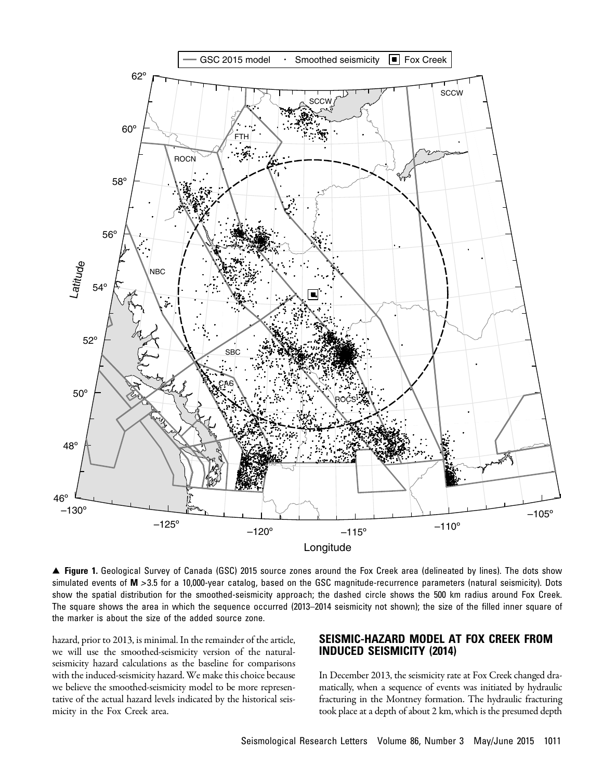<span id="page-2-0"></span>

▲ Figure 1. Geological Survey of Canada (GSC) 2015 source zones around the Fox Creek area (delineated by lines). The dots show simulated events of M > 3.5 for a 10,000-year catalog, based on the GSC magnitude-recurrence parameters (natural seismicity). Dots show the spatial distribution for the smoothed-seismicity approach; the dashed circle shows the 500 km radius around Fox Creek. The square shows the area in which the sequence occurred (2013–2014 seismicity not shown); the size of the filled inner square of the marker is about the size of the added source zone.

hazard, prior to 2013, is minimal. In the remainder of the article, we will use the smoothed-seismicity version of the naturalseismicity hazard calculations as the baseline for comparisons with the induced-seismicity hazard. We make this choice because we believe the smoothed-seismicity model to be more representative of the actual hazard levels indicated by the historical seismicity in the Fox Creek area.

# SEISMIC-HAZARD MODEL AT FOX CREEK FROM INDUCED SEISMICITY (2014)

In December 2013, the seismicity rate at Fox Creek changed dramatically, when a sequence of events was initiated by hydraulic fracturing in the Montney formation. The hydraulic fracturing took place at a depth of about 2 km, which is the presumed depth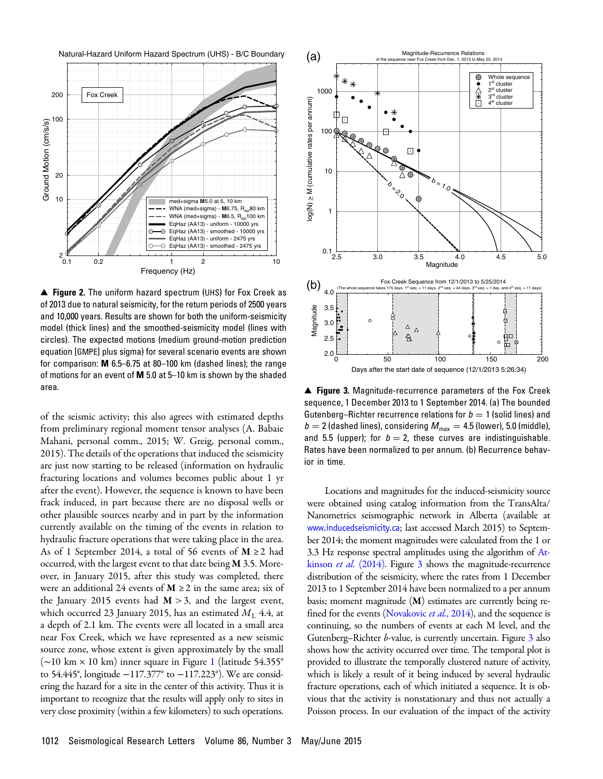<span id="page-3-0"></span>



▲ Figure 2. The uniform hazard spectrum (UHS) for Fox Creek as of 2013 due to natural seismicity, for the return periods of 2500 years and 10,000 years. Results are shown for both the uniform-seismicity model (thick lines) and the smoothed-seismicity model (lines with circles). The expected motions (medium ground-motion prediction equation [GMPE] plus sigma) for several scenario events are shown for comparison: M 6.5–6.75 at 80–100 km (dashed lines); the range of motions for an event of M 5.0 at 5–10 km is shown by the shaded area.

of the seismic activity; this also agrees with estimated depths from preliminary regional moment tensor analyses (A. Babaie Mahani, personal comm., 2015; W. Greig, personal comm., 2015). The details of the operations that induced the seismicity are just now starting to be released (information on hydraulic fracturing locations and volumes becomes public about 1 yr after the event). However, the sequence is known to have been frack induced, in part because there are no disposal wells or other plausible sources nearby and in part by the information currently available on the timing of the events in relation to hydraulic fracture operations that were taking place in the area. As of 1 September 2014, a total of 56 events of  $M \ge 2$  had occurred, with the largest event to that date being M 3.5. Moreover, in January 2015, after this study was completed, there were an additional 24 events of  $M \ge 2$  in the same area; six of the January 2015 events had  $M > 3$ , and the largest event, which occurred 23 January 2015, has an estimated  $M_L$  4.4, at a depth of 2.1 km. The events were all located in a small area near Fox Creek, which we have represented as a new seismic source zone, whose extent is given approximately by the small (∼10 km × 10 km) inner square in Figure [1](#page-2-0) (latitude 54.355° to 54.445°, longitude −117:377° to −117:223°). We are considering the hazard for a site in the center of this activity. Thus it is important to recognize that the results will apply only to sites in very close proximity (within a few kilometers) to such operations.

<span id="page-3-1"></span>

▲ Figure 3. Magnitude-recurrence parameters of the Fox Creek sequence, 1 December 2013 to 1 September 2014. (a) The bounded Gutenberg–Richter recurrence relations for  $b = 1$  (solid lines) and  $b = 2$  (dashed lines), considering  $M_{\text{max}} = 4.5$  (lower), 5.0 (middle), and 5.5 (upper); for  $b = 2$ , these curves are indistinguishable. Rates have been normalized to per annum. (b) Recurrence behavior in time.

Locations and magnitudes for the induced-seismicity source were obtained using catalog information from the TransAlta/ Nanometrics seismographic network in Alberta (available at [www.inducedseismicity.ca](http://www.inducedseismicity.ca); last accessed March 2015) to September 2014; the moment magnitudes were calculated from the 1 or 3.3 Hz response spectral amplitudes using the algorithm of [At](#page-11-10)kinson et al. [\(2014\).](#page-11-10) Figure [3](#page-3-1) shows the magnitude-recurrence distribution of the seismicity, where the rates from 1 December 2013 to 1 September 2014 have been normalized to a per annum basis; moment magnitude (M) estimates are currently being re-fined for the events [\(Novakovic](#page-12-11) *et al.*, 2014), and the sequence is continuing, so the numbers of events at each M level, and the Gutenberg–Richter *b*-value, is currently uncertain. Figure [3](#page-3-1) also shows how the activity occurred over time. The temporal plot is provided to illustrate the temporally clustered nature of activity, which is likely a result of it being induced by several hydraulic fracture operations, each of which initiated a sequence. It is obvious that the activity is nonstationary and thus not actually a Poisson process. In our evaluation of the impact of the activity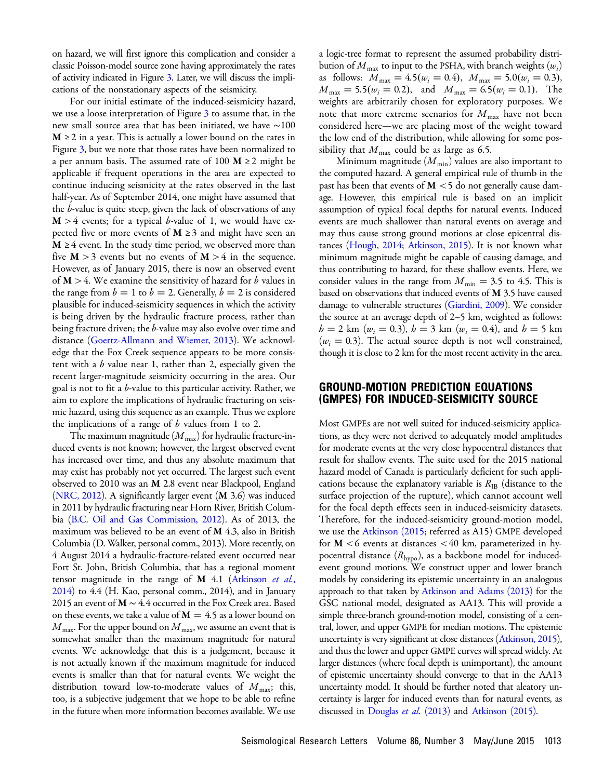on hazard, we will first ignore this complication and consider a classic Poisson-model source zone having approximately the rates of activity indicated in Figure [3](#page-3-1). Later, we will discuss the implications of the nonstationary aspects of the seismicity.

For our initial estimate of the induced-seismicity hazard, we use a loose interpretation of Figure [3](#page-3-1) to assume that, in the new small source area that has been initiated, we have ∼100  $M \geq 2$  in a year. This is actually a lower bound on the rates in Figure [3,](#page-3-1) but we note that those rates have been normalized to a per annum basis. The assumed rate of 100  $M \ge 2$  might be applicable if frequent operations in the area are expected to continue inducing seismicity at the rates observed in the last half-year. As of September 2014, one might have assumed that the b-value is quite steep, given the lack of observations of any  $M > 4$  events; for a typical b-value of 1, we would have expected five or more events of  $M \geq 3$  and might have seen an  $M \geq 4$  event. In the study time period, we observed more than five  $M > 3$  events but no events of  $M > 4$  in the sequence. However, as of January 2015, there is now an observed event of  $M > 4$ . We examine the sensitivity of hazard for b values in the range from  $b = 1$  to  $b = 2$ . Generally,  $b = 2$  is considered plausible for induced-seismicity sequences in which the activity is being driven by the hydraulic fracture process, rather than being fracture driven; the b-value may also evolve over time and distance [\(Goertz-Allmann and Wiemer, 2013](#page-11-2)). We acknowledge that the Fox Creek sequence appears to be more consistent with a  $b$  value near 1, rather than 2, especially given the recent larger-magnitude seismicity occurring in the area. Our goal is not to fit a  $b$ -value to this particular activity. Rather, we aim to explore the implications of hydraulic fracturing on seismic hazard, using this sequence as an example. Thus we explore the implications of a range of  $b$  values from 1 to 2.

The maximum magnitude  $(M_{\text{max}})$  for hydraulic fracture-induced events is not known; however, the largest observed event has increased over time, and thus any absolute maximum that may exist has probably not yet occurred. The largest such event observed to 2010 was an M 2.8 event near Blackpool, England [\(NRC, 2012\)](#page-12-0). A significantly larger event (M 3.6) was induced in 2011 by hydraulic fracturing near Horn River, British Columbia [\(B.C. Oil and Gas Commission, 2012](#page-11-3)). As of 2013, the maximum was believed to be an event of  $M$  4.3, also in British Columbia (D. Walker, personal comm., 2013). More recently, on 4 August 2014 a hydraulic-fracture-related event occurred near Fort St. John, British Columbia, that has a regional moment tensor magnitude in the range of  $M$  4.1 [\(Atkinson](#page-11-10) et al., [2014\)](#page-11-10) to 4.4 (H. Kao, personal comm., 2014), and in January 2015 an event of  $M \sim 4.4$  occurred in the Fox Creek area. Based on these events, we take a value of  $M = 4.5$  as a lower bound on  $M_{\rm max}$ . For the upper bound on  $M_{\rm max}$ , we assume an event that is somewhat smaller than the maximum magnitude for natural events. We acknowledge that this is a judgement, because it is not actually known if the maximum magnitude for induced events is smaller than that for natural events. We weight the distribution toward low-to-moderate values of  $M_{\text{max}}$ ; this, too, is a subjective judgement that we hope to be able to refine in the future when more information becomes available. We use

a logic-tree format to represent the assumed probability distribution of  $M_{\text{max}}$  to input to the PSHA, with branch weights  $(w_i)$ as follows:  $M_{\text{max}} = 4.5(w_i = 0.4), M_{\text{max}} = 5.0(w_i = 0.3),$  $M_{\text{max}} = 5.5(w_i = 0.2)$ , and  $M_{\text{max}} = 6.5(w_i = 0.1)$ . The weights are arbitrarily chosen for exploratory purposes. We note that more extreme scenarios for  $M_{\text{max}}$  have not been considered here—we are placing most of the weight toward the low end of the distribution, while allowing for some possibility that  $M_{\text{max}}$  could be as large as 6.5.

Minimum magnitude  $(M_{\text{min}})$  values are also important to the computed hazard. A general empirical rule of thumb in the past has been that events of  $M < 5$  do not generally cause damage. However, this empirical rule is based on an implicit assumption of typical focal depths for natural events. Induced events are much shallower than natural events on average and may thus cause strong ground motions at close epicentral distances ([Hough, 2014](#page-12-12); [Atkinson, 2015](#page-11-11)). It is not known what minimum magnitude might be capable of causing damage, and thus contributing to hazard, for these shallow events. Here, we consider values in the range from  $M_{\text{min}} = 3.5$  to 4.5. This is based on observations that induced events of M 3.5 have caused damage to vulnerable structures ([Giardini, 2009\)](#page-11-12). We consider the source at an average depth of 2–5 km, weighted as follows:  $h = 2$  km ( $w_i = 0.3$ ),  $h = 3$  km ( $w_i = 0.4$ ), and  $h = 5$  km  $(w<sub>i</sub> = 0.3)$ . The actual source depth is not well constrained, though it is close to 2 km for the most recent activity in the area.

#### GROUND-MOTION PREDICTION EQUATIONS (GMPES) FOR INDUCED-SEISMICITY SOURCE

Most GMPEs are not well suited for induced-seismicity applications, as they were not derived to adequately model amplitudes for moderate events at the very close hypocentral distances that result for shallow events. The suite used for the 2015 national hazard model of Canada is particularly deficient for such applications because the explanatory variable is  $R_{\text{IB}}$  (distance to the surface projection of the rupture), which cannot account well for the focal depth effects seen in induced-seismicity datasets. Therefore, for the induced-seismicity ground-motion model, we use the [Atkinson \(2015;](#page-11-11) referred as A15) GMPE developed for  $M < 6$  events at distances  $< 40$  km, parameterized in hypocentral distance  $(R_{\text{hypo}})$ , as a backbone model for inducedevent ground motions. We construct upper and lower branch models by considering its epistemic uncertainty in an analogous approach to that taken by [Atkinson and Adams \(2013\)](#page-11-9) for the GSC national model, designated as AA13. This will provide a simple three-branch ground-motion model, consisting of a central, lower, and upper GMPE for median motions. The epistemic uncertainty is very significant at close distances ([Atkinson, 2015\)](#page-11-11), and thus the lower and upper GMPE curves will spread widely. At larger distances (where focal depth is unimportant), the amount of epistemic uncertainty should converge to that in the AA13 uncertainty model. It should be further noted that aleatory uncertainty is larger for induced events than for natural events, as discussed in [Douglas](#page-11-13) *et al.* (2013) and [Atkinson \(2015\)](#page-11-11).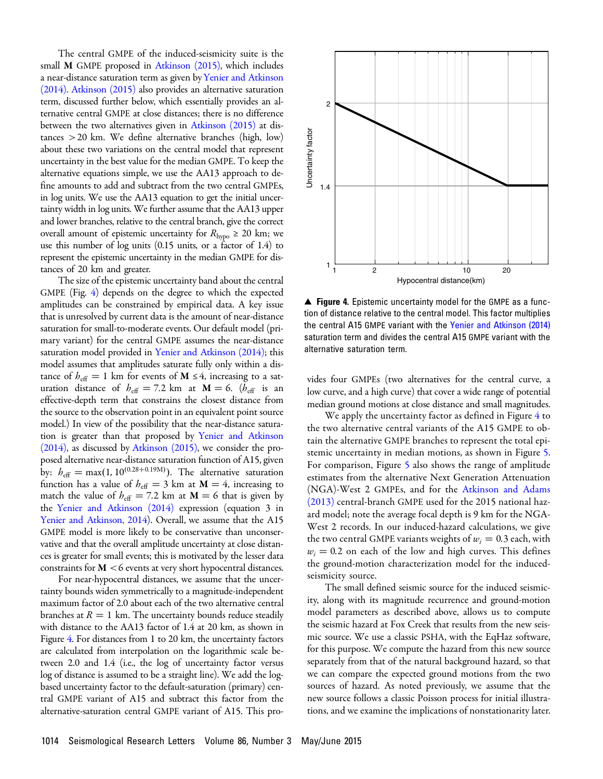The central GMPE of the induced-seismicity suite is the small M GMPE proposed in [Atkinson \(2015\),](#page-11-11) which includes a near-distance saturation term as given by[Yenier and Atkinson](#page-12-13) [\(2014\)](#page-12-13). [Atkinson \(2015\)](#page-11-11) also provides an alternative saturation term, discussed further below, which essentially provides an alternative central GMPE at close distances; there is no difference between the two alternatives given in [Atkinson \(2015\)](#page-11-11) at distances >20 km. We define alternative branches (high, low) about these two variations on the central model that represent uncertainty in the best value for the median GMPE. To keep the alternative equations simple, we use the AA13 approach to define amounts to add and subtract from the two central GMPEs, in log units. We use the AA13 equation to get the initial uncertainty width in log units. We further assume that the AA13 upper and lower branches, relative to the central branch, give the correct overall amount of epistemic uncertainty for  $R_{\text{hypo}} \geq 20$  km; we use this number of log units (0.15 units, or a factor of 1.4) to represent the epistemic uncertainty in the median GMPE for distances of 20 km and greater.

The size of the epistemic uncertainty band about the central GMPE (Fig. [4\)](#page-5-0) depends on the degree to which the expected amplitudes can be constrained by empirical data. A key issue that is unresolved by current data is the amount of near-distance saturation for small-to-moderate events. Our default model (primary variant) for the central GMPE assumes the near-distance saturation model provided in [Yenier and Atkinson \(2014\);](#page-12-13) this model assumes that amplitudes saturate fully only within a distance of  $h_{\text{eff}} = 1$  km for events of **M** ≤4, increasing to a saturation distance of  $h_{\text{eff}} = 7.2 \text{ km}$  at  $\mathbf{M} = 6$ .  $(h_{\text{eff}})$  is an effective-depth term that constrains the closest distance from the source to the observation point in an equivalent point source model.) In view of the possibility that the near-distance saturation is greater than that proposed by [Yenier and Atkinson](#page-12-13) [\(2014\)](#page-12-13), as discussed by [Atkinson \(2015\)](#page-11-11), we consider the proposed alternative near-distance saturation function of A15, given by:  $b_{\text{eff}} = \max(1, 10^{(0.28+0.19 \text{M})})$ . The alternative saturation function has a value of  $h_{\text{eff}} = 3$  km at  $M = 4$ , increasing to match the value of  $h_{\text{eff}} = 7.2$  km at  $\mathbf{M} = 6$  that is given by the [Yenier and Atkinson \(2014\)](#page-12-13) expression (equation 3 in [Yenier and Atkinson, 2014](#page-12-13)). Overall, we assume that the A15 GMPE model is more likely to be conservative than unconservative and that the overall amplitude uncertainty at close distances is greater for small events; this is motivated by the lesser data constraints for  $M < 6$  events at very short hypocentral distances.

For near-hypocentral distances, we assume that the uncertainty bounds widen symmetrically to a magnitude-independent maximum factor of 2.0 about each of the two alternative central branches at  $R = 1$  km. The uncertainty bounds reduce steadily with distance to the AA13 factor of 1.4 at 20 km, as shown in Figure [4.](#page-5-0) For distances from 1 to 20 km, the uncertainty factors are calculated from interpolation on the logarithmic scale between 2.0 and 1.4 (i.e., the log of uncertainty factor versus log of distance is assumed to be a straight line). We add the logbased uncertainty factor to the default-saturation (primary) central GMPE variant of A15 and subtract this factor from the alternative-saturation central GMPE variant of A15. This pro-

<span id="page-5-0"></span>

▲ Figure 4. Epistemic uncertainty model for the GMPE as a function of distance relative to the central model. This factor multiplies the central A15 GMPE variant with the [Yenier and Atkinson \(2014\)](#page-12-13) saturation term and divides the central A15 GMPE variant with the alternative saturation term.

vides four GMPEs (two alternatives for the central curve, a low curve, and a high curve) that cover a wide range of potential median ground motions at close distance and small magnitudes.

We apply the uncertainty factor as defined in Figure [4](#page-5-0) to the two alternative central variants of the A15 GMPE to obtain the alternative GMPE branches to represent the total epistemic uncertainty in median motions, as shown in Figure [5.](#page-6-0) For comparison, Figure [5](#page-6-0) also shows the range of amplitude estimates from the alternative Next Generation Attenuation (NGA)-West 2 GMPEs, and for the [Atkinson and Adams](#page-11-9) [\(2013\)](#page-11-9) central-branch GMPE used for the 2015 national hazard model; note the average focal depth is 9 km for the NGA-West 2 records. In our induced-hazard calculations, we give the two central GMPE variants weights of  $w_i = 0.3$  each, with  $w_i = 0.2$  on each of the low and high curves. This defines the ground-motion characterization model for the inducedseismicity source.

The small defined seismic source for the induced seismicity, along with its magnitude recurrence and ground-motion model parameters as described above, allows us to compute the seismic hazard at Fox Creek that results from the new seismic source. We use a classic PSHA, with the EqHaz software, for this purpose. We compute the hazard from this new source separately from that of the natural background hazard, so that we can compare the expected ground motions from the two sources of hazard. As noted previously, we assume that the new source follows a classic Poisson process for initial illustrations, and we examine the implications of nonstationarity later.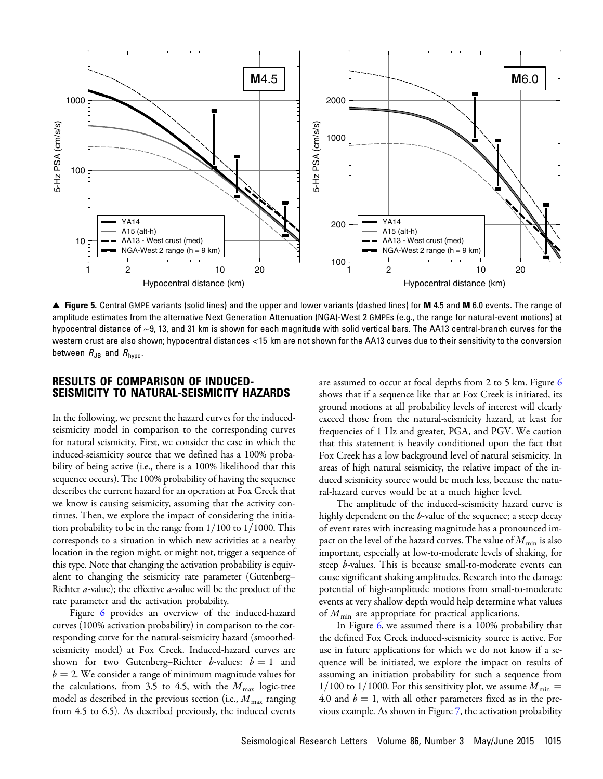<span id="page-6-0"></span>

▲ Figure 5. Central GMPE variants (solid lines) and the upper and lower variants (dashed lines) for M 4.5 and M 6.0 events. The range of amplitude estimates from the alternative Next Generation Attenuation (NGA)-West 2 GMPEs (e.g., the range for natural-event motions) at hypocentral distance of ∼9, 13, and 31 km is shown for each magnitude with solid vertical bars. The AA13 central-branch curves for the western crust are also shown; hypocentral distances < 15 km are not shown for the AA13 curves due to their sensitivity to the conversion between  $R_{JB}$  and  $R_{\text{hypo}}$ .

# RESULTS OF COMPARISON OF INDUCED-SEISMICITY TO NATURAL-SEISMICITY HAZARDS

In the following, we present the hazard curves for the inducedseismicity model in comparison to the corresponding curves for natural seismicity. First, we consider the case in which the induced-seismicity source that we defined has a 100% probability of being active (i.e., there is a 100% likelihood that this sequence occurs). The 100% probability of having the sequence describes the current hazard for an operation at Fox Creek that we know is causing seismicity, assuming that the activity continues. Then, we explore the impact of considering the initiation probability to be in the range from  $1/100$  to  $1/1000$ . This corresponds to a situation in which new activities at a nearby location in the region might, or might not, trigger a sequence of this type. Note that changing the activation probability is equivalent to changing the seismicity rate parameter (Gutenberg– Richter  $a$ -value); the effective  $a$ -value will be the product of the rate parameter and the activation probability.

Figure [6](#page-7-0) provides an overview of the induced-hazard curves (100% activation probability) in comparison to the corresponding curve for the natural-seismicity hazard (smoothedseismicity model) at Fox Creek. Induced-hazard curves are shown for two Gutenberg–Richter b-values:  $b = 1$  and  $b = 2$ . We consider a range of minimum magnitude values for the calculations, from 3.5 to 4.5, with the  $M_{\text{max}}$  logic-tree model as described in the previous section (i.e.,  $M_{\text{max}}$  ranging from 4.5 to 6.5). As described previously, the induced events

are assumed to occur at focal depths from 2 to 5 km. Figure [6](#page-7-0) shows that if a sequence like that at Fox Creek is initiated, its ground motions at all probability levels of interest will clearly exceed those from the natural-seismicity hazard, at least for frequencies of 1 Hz and greater, PGA, and PGV. We caution that this statement is heavily conditioned upon the fact that Fox Creek has a low background level of natural seismicity. In areas of high natural seismicity, the relative impact of the induced seismicity source would be much less, because the natural-hazard curves would be at a much higher level.

The amplitude of the induced-seismicity hazard curve is highly dependent on the b-value of the sequence; a steep decay of event rates with increasing magnitude has a pronounced impact on the level of the hazard curves. The value of  $M_{\text{min}}$  is also important, especially at low-to-moderate levels of shaking, for steep *b*-values. This is because small-to-moderate events can cause significant shaking amplitudes. Research into the damage potential of high-amplitude motions from small-to-moderate events at very shallow depth would help determine what values of  $M_{\text{min}}$  are appropriate for practical applications.

In Figure [6](#page-7-0), we assumed there is a 100% probability that the defined Fox Creek induced-seismicity source is active. For use in future applications for which we do not know if a sequence will be initiated, we explore the impact on results of assuming an initiation probability for such a sequence from 1/100 to 1/1000. For this sensitivity plot, we assume  $M_{\text{min}} =$ 4.0 and  $b = 1$ , with all other parameters fixed as in the previous example. As shown in Figure [7](#page-8-0), the activation probability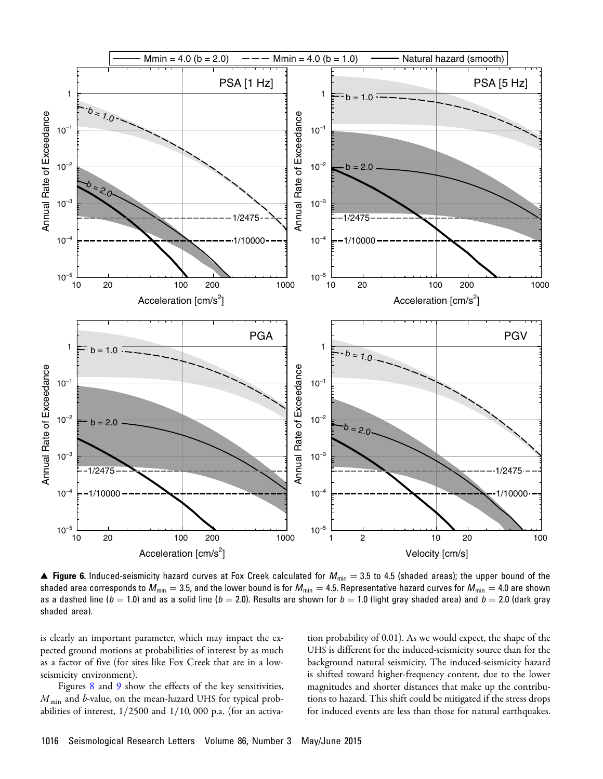<span id="page-7-0"></span>

▲ Figure 6. Induced-seismicity hazard curves at Fox Creek calculated for  $M_{\text{min}} = 3.5$  to 4.5 (shaded areas); the upper bound of the shaded area corresponds to  $M_{\text{min}} = 3.5$ , and the lower bound is for  $M_{\text{min}} = 4.5$ . Representative hazard curves for  $M_{\text{min}} = 4.0$  are shown as a dashed line ( $b = 1.0$ ) and as a solid line ( $b = 2.0$ ). Results are shown for  $b = 1.0$  (light gray shaded area) and  $b = 2.0$  (dark gray shaded area).

is clearly an important parameter, which may impact the expected ground motions at probabilities of interest by as much as a factor of five (for sites like Fox Creek that are in a lowseismicity environment).

Figures [8](#page-9-0) and [9](#page-9-1) show the effects of the key sensitivities,  $M_{\text{min}}$  and b-value, on the mean-hazard UHS for typical probabilities of interest,  $1/2500$  and  $1/10$ , 000 p.a. (for an activa-

tion probability of 0.01). As we would expect, the shape of the UHS is different for the induced-seismicity source than for the background natural seismicity. The induced-seismicity hazard is shifted toward higher-frequency content, due to the lower magnitudes and shorter distances that make up the contributions to hazard. This shift could be mitigated if the stress drops for induced events are less than those for natural earthquakes.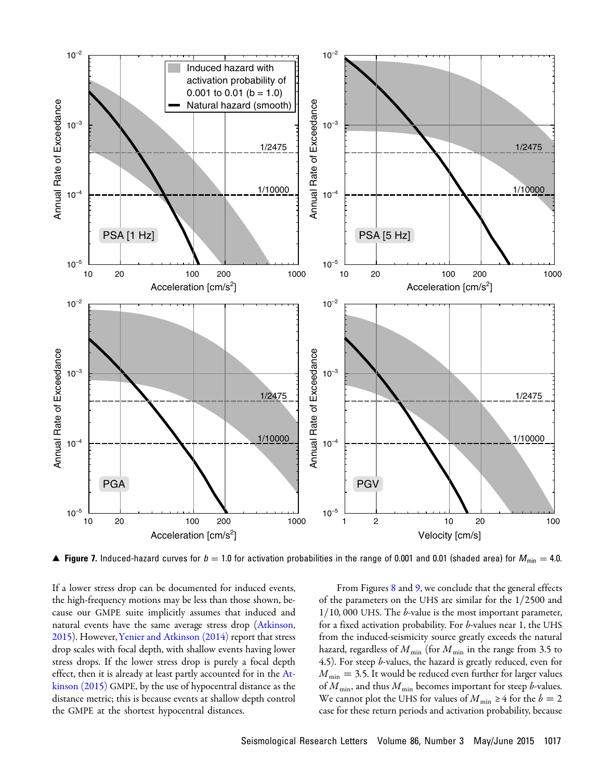<span id="page-8-0"></span>

▲ Figure 7. Induced-hazard curves for  $b=1.0$  for activation probabilities in the range of 0.001 and 0.01 (shaded area) for  $M_{\sf min} = 4.0$ .

If a lower stress drop can be documented for induced events, the high-frequency motions may be less than those shown, because our GMPE suite implicitly assumes that induced and natural events have the same average stress drop [\(Atkinson,](#page-11-11) [2015](#page-11-11)). However,[Yenier and Atkinson \(2014\)](#page-12-13) report that stress drop scales with focal depth, with shallow events having lower stress drops. If the lower stress drop is purely a focal depth effect, then it is already at least partly accounted for in the [At](#page-11-11)[kinson \(2015\)](#page-11-11) GMPE, by the use of hypocentral distance as the distance metric; this is because events at shallow depth control the GMPE at the shortest hypocentral distances.

From Figures [8](#page-9-0) and [9,](#page-9-1) we conclude that the general effects of the parameters on the UHS are similar for the  $1/2500$  and  $1/10$ , 000 UHS. The *b*-value is the most important parameter, for a fixed activation probability. For b-values near 1, the UHS from the induced-seismicity source greatly exceeds the natural hazard, regardless of  $M_{\text{min}}$  (for  $M_{\text{min}}$  in the range from 3.5 to 4.5). For steep *b*-values, the hazard is greatly reduced, even for  $M_{\text{min}} = 3.5$ . It would be reduced even further for larger values of  $M_{\text{min}}$ , and thus  $M_{\text{min}}$  becomes important for steep b-values. We cannot plot the UHS for values of  $M_{\text{min}} \geq 4$  for the  $b = 2$ case for these return periods and activation probability, because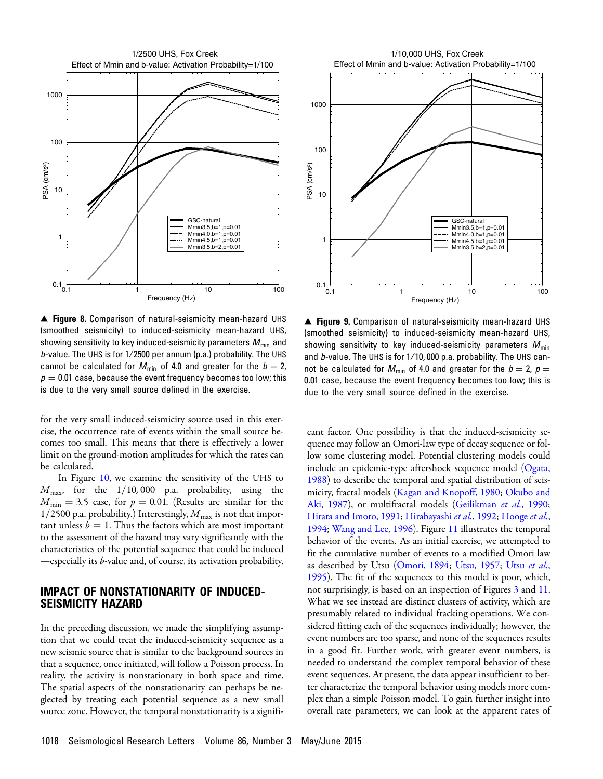<span id="page-9-0"></span>

▲ Figure 8. Comparison of natural-seismicity mean-hazard UHS (smoothed seismicity) to induced-seismicity mean-hazard UHS, showing sensitivity to key induced-seismicity parameters  $M_{\text{min}}$  and b-value. The UHS is for  $1/2500$  per annum (p.a.) probability. The UHS cannot be calculated for  $M_{\text{min}}$  of 4.0 and greater for the  $b = 2$ ,  $p = 0.01$  case, because the event frequency becomes too low; this is due to the very small source defined in the exercise.

for the very small induced-seismicity source used in this exercise, the occurrence rate of events within the small source becomes too small. This means that there is effectively a lower limit on the ground-motion amplitudes for which the rates can be calculated.

In Figure [10,](#page-10-0) we examine the sensitivity of the UHS to  $M_{\text{max}}$ , for the  $1/10$ , 000 p.a. probability, using the  $M_{\text{min}} = 3.5$  case, for  $p = 0.01$ . (Results are similar for the 1/2500 p.a. probability.) Interestingly,  $M_{\text{max}}$  is not that important unless  $b = 1$ . Thus the factors which are most important to the assessment of the hazard may vary significantly with the characteristics of the potential sequence that could be induced —especially its b-value and, of course, its activation probability.

#### IMPACT OF NONSTATIONARITY OF INDUCED-SEISMICITY HAZARD

In the preceding discussion, we made the simplifying assumption that we could treat the induced-seismicity sequence as a new seismic source that is similar to the background sources in that a sequence, once initiated, will follow a Poisson process. In reality, the activity is nonstationary in both space and time. The spatial aspects of the nonstationarity can perhaps be neglected by treating each potential sequence as a new small source zone. However, the temporal nonstationarity is a signifi-



<span id="page-9-1"></span>

▲ Figure 9. Comparison of natural-seismicity mean-hazard UHS (smoothed seismicity) to induced-seismicity mean-hazard UHS, showing sensitivity to key induced-seismicity parameters  $M_{\text{min}}$ and b-value. The UHS is for  $1/10$ , 000 p.a. probability. The UHS cannot be calculated for  $M_{\text{min}}$  of 4.0 and greater for the  $b = 2$ ,  $p =$ 0.01 case, because the event frequency becomes too low; this is due to the very small source defined in the exercise.

cant factor. One possibility is that the induced-seismicity sequence may follow an Omori-law type of decay sequence or follow some clustering model. Potential clustering models could include an epidemic-type aftershock sequence model ([Ogata,](#page-12-14) [1988](#page-12-14)) to describe the temporal and spatial distribution of seismicity, fractal models [\(Kagan and Knopoff, 1980;](#page-12-15) [Okubo and](#page-12-16) [Aki, 1987](#page-12-16)), or multifractal models ([Geilikman](#page-11-14) et al., 1990; [Hirata and Imoto, 1991;](#page-12-17) [Hirabayashi](#page-11-15) et al., 1992; [Hooge](#page-12-18) et al., [1994](#page-12-18); [Wang and Lee, 1996](#page-12-19)). Figure [11](#page-10-1) illustrates the temporal behavior of the events. As an initial exercise, we attempted to fit the cumulative number of events to a modified Omori law as described by Utsu [\(Omori, 1894](#page-12-20); [Utsu, 1957;](#page-12-21) Utsu [et al.](#page-12-22), [1995](#page-12-22)). The fit of the sequences to this model is poor, which, not surprisingly, is based on an inspection of Figures [3](#page-3-1) and [11.](#page-10-1) What we see instead are distinct clusters of activity, which are presumably related to individual fracking operations. We considered fitting each of the sequences individually; however, the event numbers are too sparse, and none of the sequences results in a good fit. Further work, with greater event numbers, is needed to understand the complex temporal behavior of these event sequences. At present, the data appear insufficient to better characterize the temporal behavior using models more complex than a simple Poisson model. To gain further insight into overall rate parameters, we can look at the apparent rates of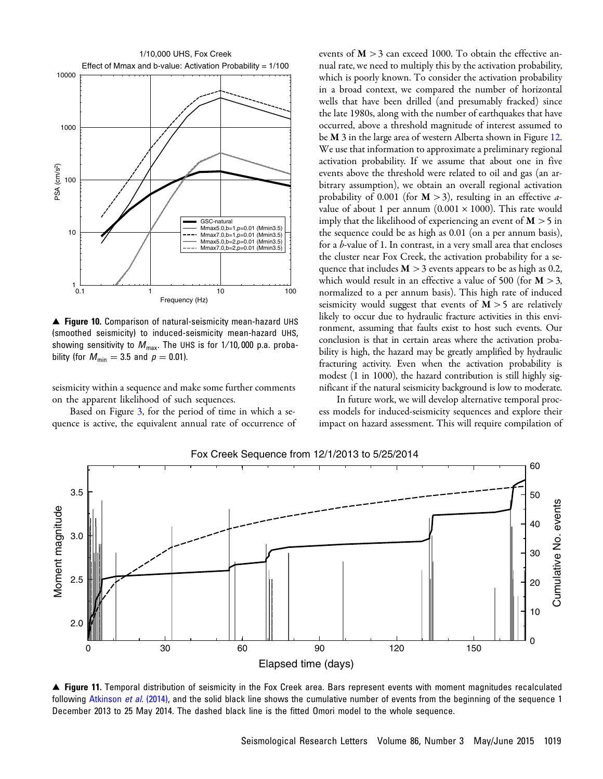<span id="page-10-0"></span>

▲ Figure 10. Comparison of natural-seismicity mean-hazard UHS (smoothed seismicity) to induced-seismicity mean-hazard UHS, showing sensitivity to  $M_{\text{max}}$ . The UHS is for 1/10,000 p.a. probability (for  $M_{\text{min}} = 3.5$  and  $p = 0.01$ ).

seismicity within a sequence and make some further comments on the apparent likelihood of such sequences.

Based on Figure [3,](#page-3-1) for the period of time in which a sequence is active, the equivalent annual rate of occurrence of

events of  $M > 3$  can exceed 1000. To obtain the effective annual rate, we need to multiply this by the activation probability, which is poorly known. To consider the activation probability in a broad context, we compared the number of horizontal wells that have been drilled (and presumably fracked) since the late 1980s, along with the number of earthquakes that have occurred, above a threshold magnitude of interest assumed to be M 3 in the large area of western Alberta shown in Figure [12.](#page-11-16) We use that information to approximate a preliminary regional activation probability. If we assume that about one in five events above the threshold were related to oil and gas (an arbitrary assumption), we obtain an overall regional activation probability of 0.001 (for  $M > 3$ ), resulting in an effective avalue of about 1 per annum (0.001  $\times$  1000). This rate would imply that the likelihood of experiencing an event of  $M > 5$  in the sequence could be as high as 0.01 (on a per annum basis), for a *b*-value of 1. In contrast, in a very small area that encloses the cluster near Fox Creek, the activation probability for a sequence that includes  $M > 3$  events appears to be as high as 0.2, which would result in an effective a value of 500 (for  $M > 3$ , normalized to a per annum basis). This high rate of induced seismicity would suggest that events of  $M > 5$  are relatively likely to occur due to hydraulic fracture activities in this environment, assuming that faults exist to host such events. Our conclusion is that in certain areas where the activation probability is high, the hazard may be greatly amplified by hydraulic fracturing activity. Even when the activation probability is modest (1 in 1000), the hazard contribution is still highly significant if the natural seismicity background is low to moderate.

In future work, we will develop alternative temporal process models for induced-seismicity sequences and explore their impact on hazard assessment. This will require compilation of

<span id="page-10-1"></span>

Fox Creek Sequence from 12/1/2013 to 5/25/2014

▲ Figure 11. Temporal distribution of seismicity in the Fox Creek area. Bars represent events with moment magnitudes recalculated following [Atkinson](#page-11-10) *et al.* (2014), and the solid black line shows the cumulative number of events from the beginning of the sequence 1 December 2013 to 25 May 2014. The dashed black line is the fitted Omori model to the whole sequence.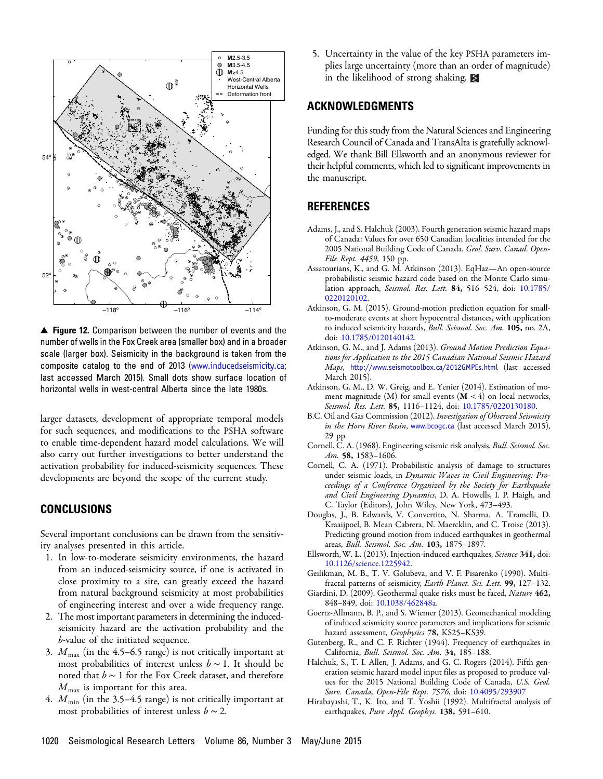<span id="page-11-16"></span>

▲ Figure 12. Comparison between the number of events and the number of wells in the Fox Creek area (smaller box) and in a broader scale (larger box). Seismicity in the background is taken from the composite catalog to the end of 2013 ([www.inducedseismicity.ca](http://www.inducedseismicity.ca); last accessed March 2015). Small dots show surface location of horizontal wells in west-central Alberta since the late 1980s.

larger datasets, development of appropriate temporal models for such sequences, and modifications to the PSHA software to enable time-dependent hazard model calculations. We will also carry out further investigations to better understand the activation probability for induced-seismicity sequences. These developments are beyond the scope of the current study.

#### CONCLUSIONS

Several important conclusions can be drawn from the sensitivity analyses presented in this article.

- 1. In low-to-moderate seismicity environments, the hazard from an induced-seismicity source, if one is activated in close proximity to a site, can greatly exceed the hazard from natural background seismicity at most probabilities of engineering interest and over a wide frequency range.
- 2. The most important parameters in determining the inducedseismicity hazard are the activation probability and the b-value of the initiated sequence.
- 3.  $M_{\text{max}}$  (in the 4.5–6.5 range) is not critically important at most probabilities of interest unless  $b \sim 1$ . It should be noted that  $b \sim 1$  for the Fox Creek dataset, and therefore  $M_{\text{max}}$  is important for this area.
- 4.  $M_{\text{min}}$  (in the 3.5–4.5 range) is not critically important at most probabilities of interest unless  $b \sim 2$ .

5. Uncertainty in the value of the key PSHA parameters implies large uncertainty (more than an order of magnitude) in the likelihood of strong shaking.

#### ACKNOWLEDGMENTS

Funding for this study from the Natural Sciences and Engineering Research Council of Canada and TransAlta is gratefully acknowledged. We thank Bill Ellsworth and an anonymous reviewer for their helpful comments, which led to significant improvements in the manuscript.

### <span id="page-11-4"></span>**REFERENCES**

- Adams, J., and S. Halchuk (2003). Fourth generation seismic hazard maps of Canada: Values for over 650 Canadian localities intended for the 2005 National Building Code of Canada, Geol. Surv. Canad. Open-File Rept. 4459, 150 pp.
- <span id="page-11-8"></span>Assatourians, K., and G. M. Atkinson (2013). EqHaz—An open-source probabilistic seismic hazard code based on the Monte Carlo simu-lation approach, Seismol. Res. Lett. 84, 516-524, doi: [10.1785/](http://dx.doi.org/10.1785/0220120102) [0220120102](http://dx.doi.org/10.1785/0220120102).
- <span id="page-11-11"></span>Atkinson, G. M. (2015). Ground-motion prediction equation for smallto-moderate events at short hypocentral distances, with application to induced seismicity hazards, Bull. Seismol. Soc. Am. 105, no. 2A, doi: [10.1785/0120140142.](http://dx.doi.org/10.1785/0120140142)
- <span id="page-11-9"></span>Atkinson, G. M., and J. Adams (2013). Ground Motion Prediction Equations for Application to the 2015 Canadian National Seismic Hazard Maps, <http://www.seismotoolbox.ca/2012GMPEs.html> (last accessed March 2015).
- <span id="page-11-10"></span><span id="page-11-3"></span>Atkinson, G. M., D. W. Greig, and E. Yenier (2014). Estimation of moment magnitude  $(M)$  for small events  $(M < 4)$  on local networks, Seismol. Res. Lett. 85, 1116-1124, doi: [10.1785/0220130180](http://dx.doi.org/10.1785/0220130180).
- <span id="page-11-6"></span>B.C. Oil and Gas Commission (2012). Investigation of Observed Seismicity in the Horn River Basin, <www.bcogc.ca> (last accessed March 2015), 29 pp.
- <span id="page-11-7"></span>Cornell, C. A. (1968). Engineering seismic risk analysis, Bull. Seismol. Soc. Am. 58, 1583-1606.
- Cornell, C. A. (1971). Probabilistic analysis of damage to structures under seismic loads, in Dynamic Waves in Civil Engineering: Proceedings of a Conference Organized by the Society for Earthquake and Civil Engineering Dynamics, D. A. Howells, I. P. Haigh, and C. Taylor (Editors), John Wiley, New York, 473–493.
- <span id="page-11-13"></span>Douglas, J., B. Edwards, V. Convertito, N. Sharma, A. Tramelli, D. Kraaijpoel, B. Mean Cabrera, N. Maercklin, and C. Troise (2013). Predicting ground motion from induced earthquakes in geothermal areas, Bull. Seismol. Soc. Am. 103, 1875–1897.
- <span id="page-11-14"></span><span id="page-11-0"></span>Ellsworth, W. L. (2013). Injection-induced earthquakes, Science 341, doi: [10.1126/science.1225942.](http://dx.doi.org/10.1126/science.1225942)
- <span id="page-11-12"></span>Geilikman, M. B., T. V. Golubeva, and V. F. Pisarenko (1990). Multifractal patterns of seismicity, Earth Planet. Sci. Lett. 99, 127-132.
- <span id="page-11-2"></span>Giardini, D. (2009). Geothermal quake risks must be faced, Nature 462, 848–849, doi: [10.1038/462848a.](http://dx.doi.org/10.1038/462848a)
- <span id="page-11-1"></span>Goertz-Allmann, B. P., and S. Wiemer (2013). Geomechanical modeling of induced seismicity source parameters and implications for seismic hazard assessment, Geophysics 78, KS25-KS39.
- <span id="page-11-5"></span>Gutenberg, R., and C. F. Richter (1944). Frequency of earthquakes in California, Bull. Seismol. Soc. Am. 34, 185–188.
- Halchuk, S., T. I. Allen, J. Adams, and G. C. Rogers (2014). Fifth generation seismic hazard model input files as proposed to produce values for the 2015 National Building Code of Canada, U.S. Geol. Surv. Canada, Open-File Rept. 7576, doi: [10.4095/293907](http://dx.doi.org/10.4095/293907)
- <span id="page-11-15"></span>Hirabayashi, T., K. Ito, and T. Yoshii (1992). Multifractal analysis of earthquakes, Pure Appl. Geophys. 138, 591-610.